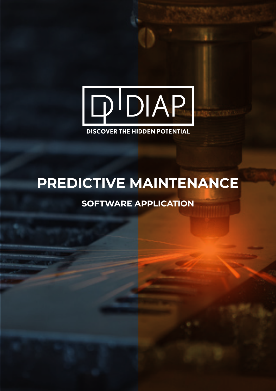

## **DISCOVER THE HIDDEN POTENTIAL**

# **PREDICTIVE MAINTENANCE**

## **SOFTWARE APPLICATION**